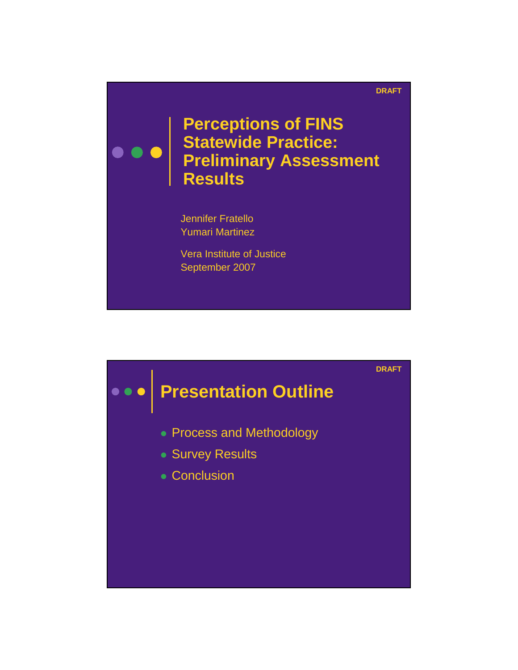## **DRAFT**

**Perceptions of FINS Statewide Practice: Preliminary Assessment Results**

Jennifer Fratello Yumari Martinez

Vera Institute of Justice September 2007

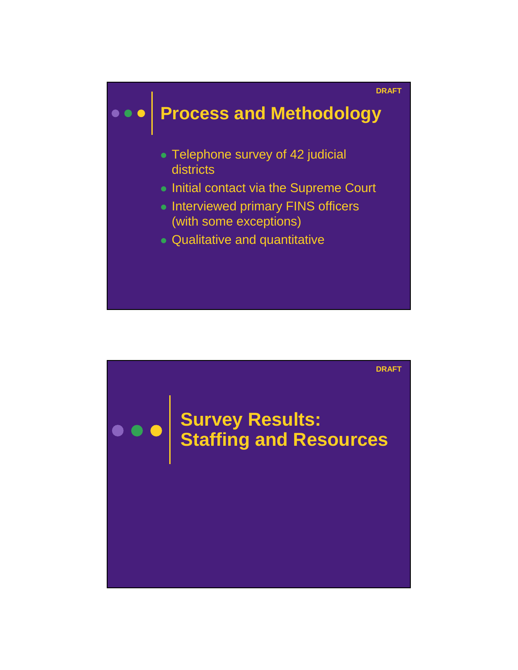

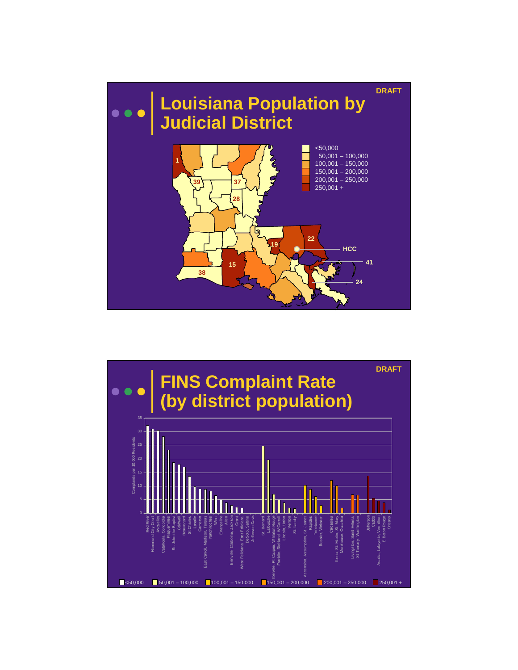

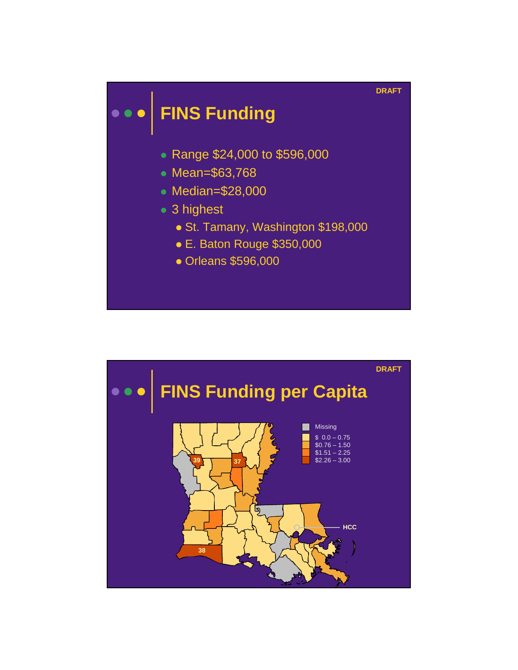

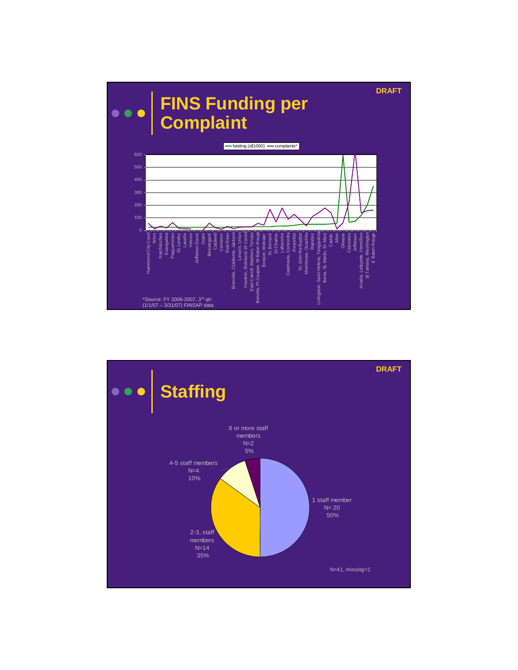

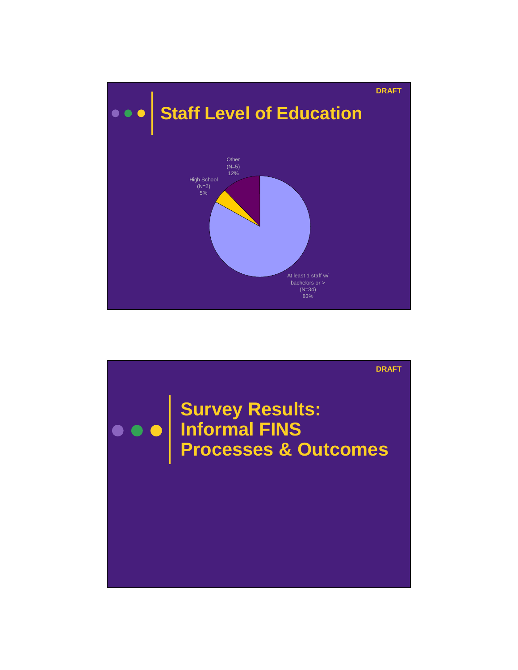

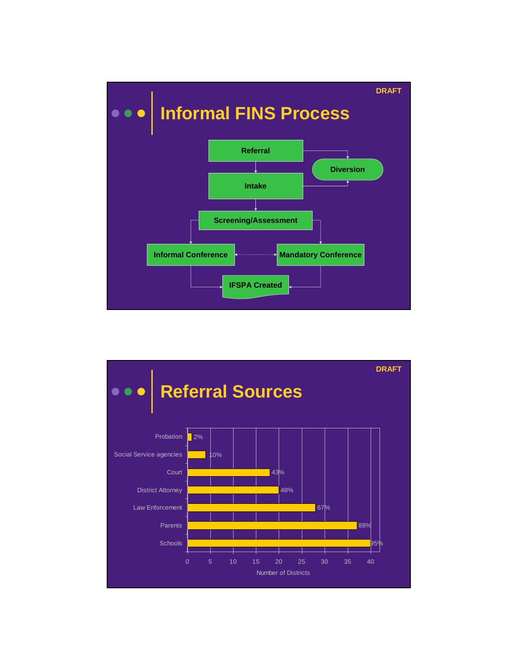

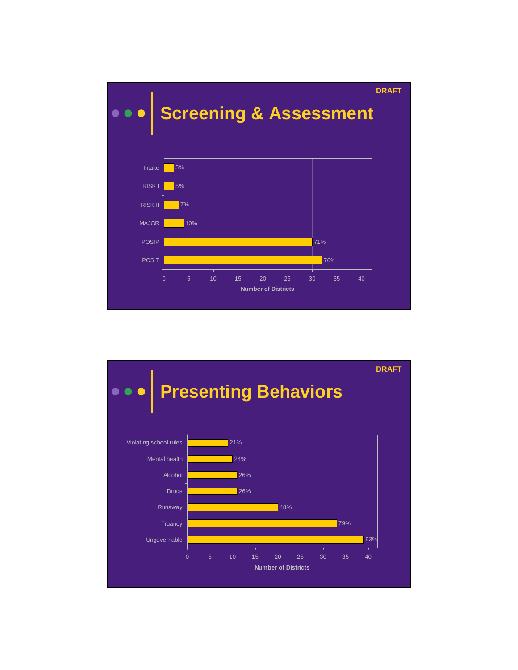

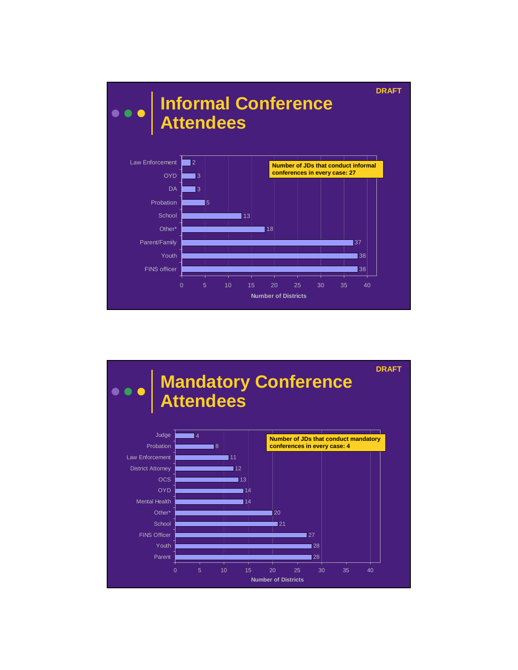

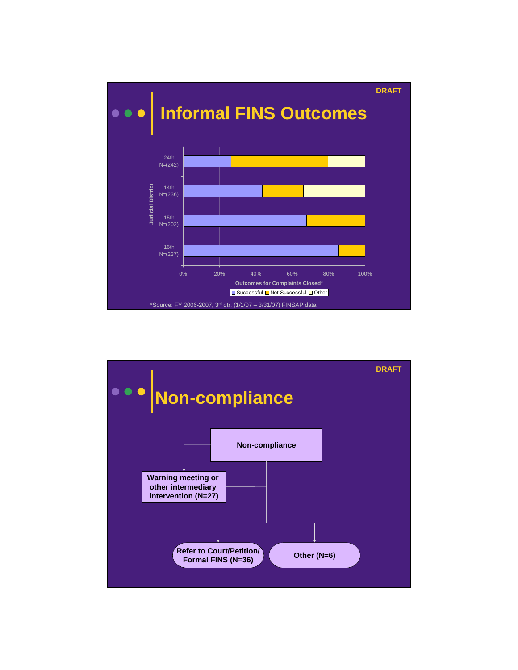

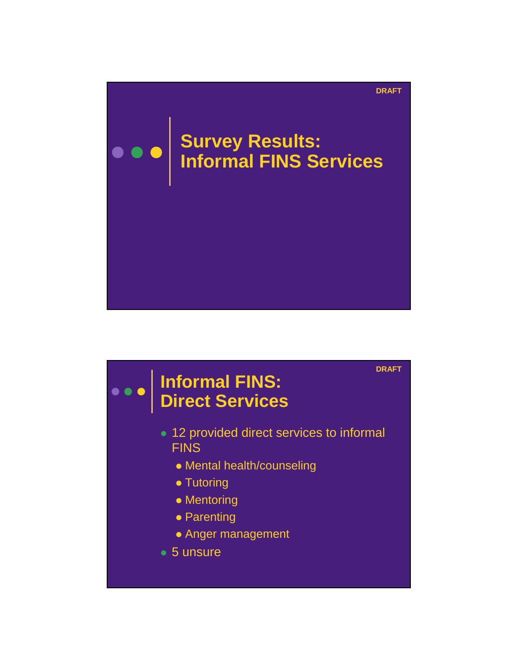

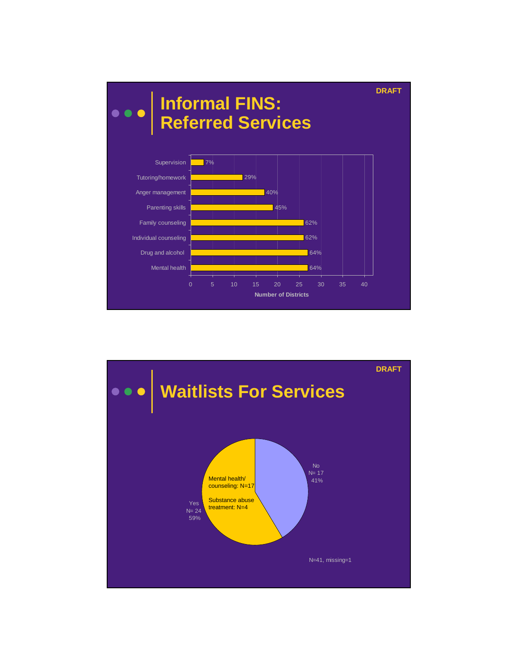

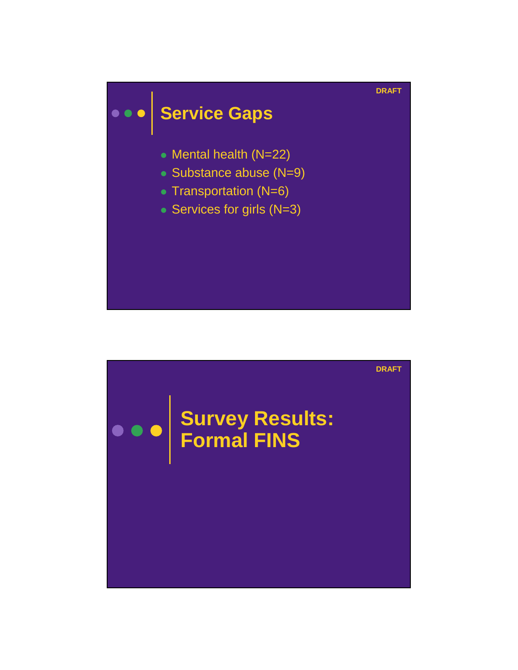

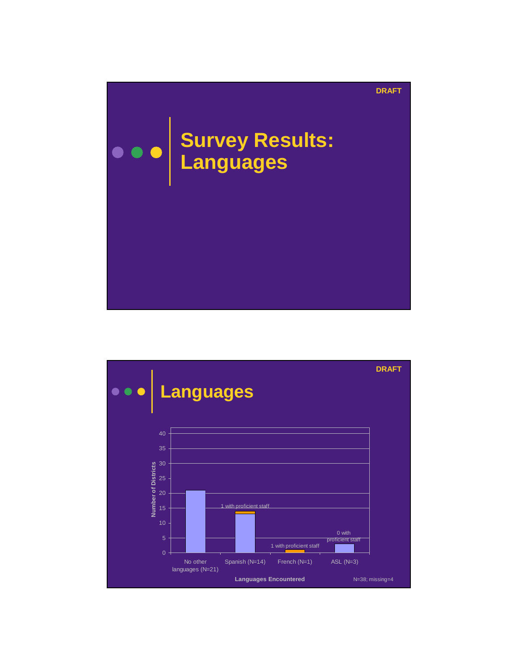

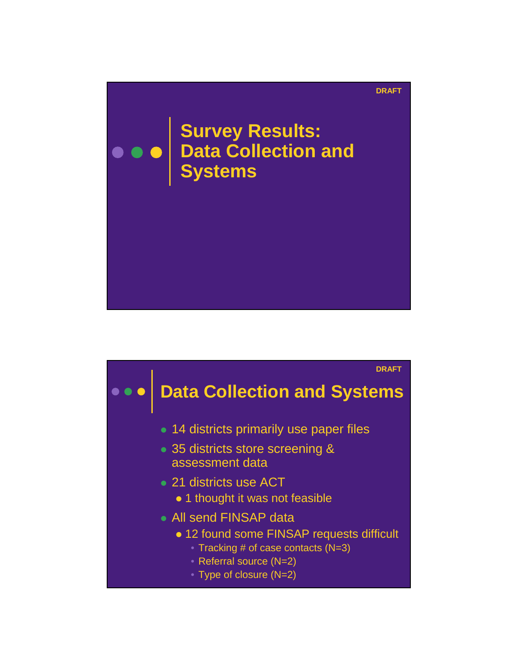

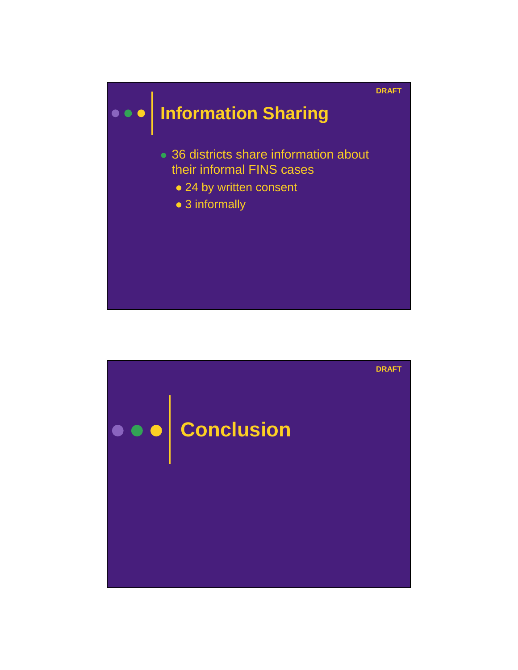